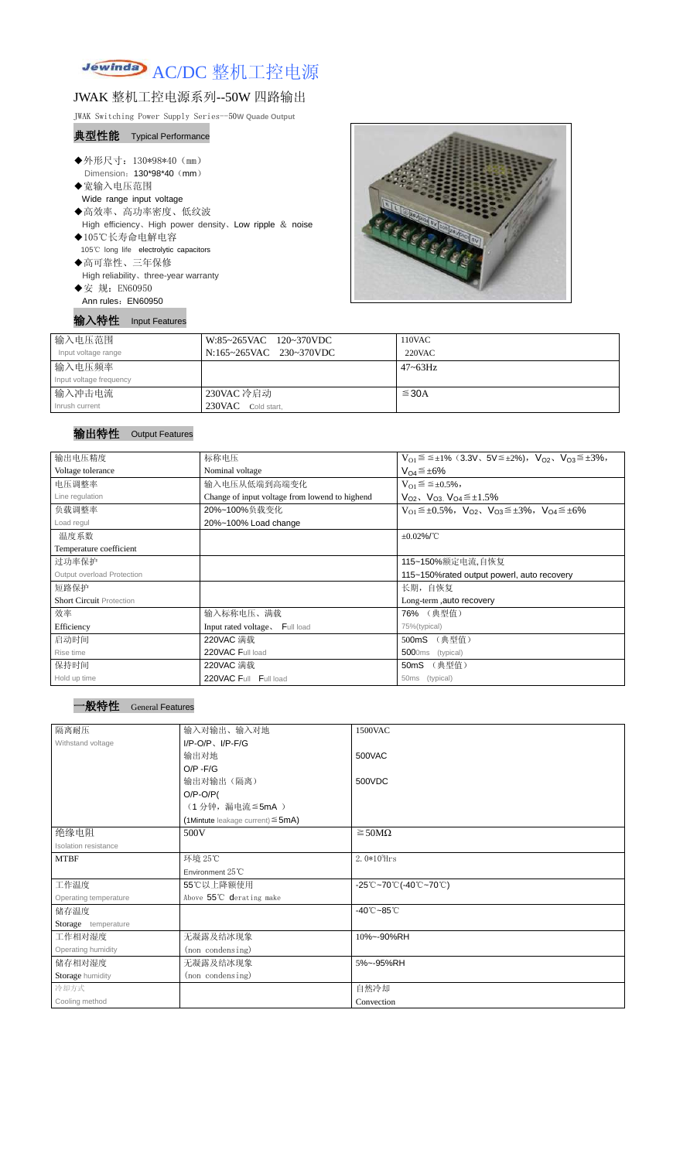

# JWAK 整机工控电源系列--50W 四路输出

JWAK Switching Power Supply Series--50**W Quade Output**

### 典型性能 Typical Performance

- ◆外形尺寸: 130\*98\*40 (mm) Dimension: 130\*98\*40 (mm) ◆宽输入电压范围 Wide range input voltage ◆高效率、高功率密度、低纹波 High efficiency、High power density、Low ripple & noise ◆105℃长寿命电解电容 105℃ long life electrolytic capacitors ◆高可靠性、三年保修 High reliability、three-year warranty
- ◆安 规: EN60950 Ann rules: EN60950

输入特性 Input Features



| 输入电压范围                  | W:85~265VAC 120~370VDC  | $110$ VAC       |
|-------------------------|-------------------------|-----------------|
| Input voltage range     | N:165~265VAC 230~370VDC | $220$ VAC       |
| 输入电压频率                  |                         | $47 \sim 63$ Hz |
| Input voltage frequency |                         |                 |
| 输入冲击电流                  | 230VAC 冷启动              | $\leq$ 30A      |
| Inrush current          | 230VAC Cold start,      |                 |

## 输出特性 Output Features

### 一般特性 General Features

| 输出电压精度                          | 标称电压                                                                                            | $V_{O1} \le \le \pm 1\%$ (3.3V, $5V \le \pm 2\%$ ), $V_{O2}$ , $V_{O3} \le \pm 3\%$ , |  |  |
|---------------------------------|-------------------------------------------------------------------------------------------------|---------------------------------------------------------------------------------------|--|--|
| Voltage tolerance               | Nominal voltage                                                                                 | $V_{O4} \leq \pm 6\%$                                                                 |  |  |
| 电压调整率                           | 输入电压从低端到高端变化<br>$V_{O1} \leq \leq \pm 0.5\%,$                                                   |                                                                                       |  |  |
| Line regulation                 | Change of input voltage from lowend to highend<br>$V_{O2}$ , $V_{O3}$ , $V_{O4} \leq \pm 1.5\%$ |                                                                                       |  |  |
| 负载调整率                           | 20%~100%负载变化                                                                                    | $V_{O1} \leq \pm 0.5\%$ , $V_{O2}$ , $V_{O3} \leq \pm 3\%$ , $V_{O4} \leq \pm 6\%$    |  |  |
| Load regul                      | 20%~100% Load change                                                                            |                                                                                       |  |  |
| 温度系数                            | $\pm 0.02\%$ /°C                                                                                |                                                                                       |  |  |
| Temperature coefficient         |                                                                                                 |                                                                                       |  |  |
| 过功率保护                           |                                                                                                 | 115~150%额定电流,自恢复                                                                      |  |  |
| Output overload Protection      | 115~150% rated output powerl, auto recovery                                                     |                                                                                       |  |  |
| 短路保护                            |                                                                                                 | 长期, 自恢复                                                                               |  |  |
| <b>Short Circuit Protection</b> |                                                                                                 | Long-term, auto recovery                                                              |  |  |
| 效率                              | 输入标称电压、满载                                                                                       | 76% (典型值)                                                                             |  |  |
| Efficiency                      | Input rated voltage, Full load                                                                  | 75%(typical)                                                                          |  |  |
| 启动时间                            | 220VAC 满载                                                                                       | (典型值)<br>500mS                                                                        |  |  |
| Rise time                       | 220VAC Full load                                                                                | 5000ms<br>(typical)                                                                   |  |  |
| 保持时间                            | 220VAC 满载                                                                                       | (典型值)<br>50 <sub>m</sub> S                                                            |  |  |
| Hold up time                    | 220VAC Full Full load                                                                           | 50ms (typical)                                                                        |  |  |

| 隔离耐压 | 对输出、<br>输入对地<br>一 大人 、 | 1500VAC |
|------|------------------------|---------|
|      | $\sim$<br>uus k        |         |

| Withstand voltage     | $I/P-O/P$ , $I/P$ -F/G                    |                                                                                       |
|-----------------------|-------------------------------------------|---------------------------------------------------------------------------------------|
|                       | 输出对地                                      | 500VAC                                                                                |
|                       | $O/P - F/G$                               |                                                                                       |
|                       | 输出对输出(隔离)                                 | 500VDC                                                                                |
|                       | $O/P-O/P($                                |                                                                                       |
|                       | (1分钟,漏电流 ≦5mA)                            |                                                                                       |
|                       | $(1$ Mintute leakage current) $\leq$ 5mA) |                                                                                       |
| 绝缘电阻                  | 500V                                      | $\geq$ 50M $\Omega$                                                                   |
| Isolation resistance  |                                           |                                                                                       |
| <b>MTBF</b>           | 环境 25℃                                    | $2.0*105$ Hrs                                                                         |
|                       | Environment 25°C                          |                                                                                       |
| 工作温度                  | 55℃以上降额使用                                 | $-25^{\circ}\text{C}-70^{\circ}\text{C}$ (-40 $^{\circ}\text{C}-70^{\circ}\text{C}$ ) |
| Operating temperature | Above 55°C derating make                  |                                                                                       |
| 储存温度                  |                                           | $-40^{\circ}$ C $-85^{\circ}$ C                                                       |
| Storage temperature   |                                           |                                                                                       |
| 工作相对湿度                | 无凝露及结冰现象                                  | 10%~-90%RH                                                                            |
| Operating humidity    | (non condensing)                          |                                                                                       |
| 储存相对湿度                | 无凝露及结冰现象                                  | 5%~-95%RH                                                                             |
| Storage humidity      | (non condensing)                          |                                                                                       |
| 冷却方式                  |                                           | 自然冷却                                                                                  |
| Cooling method        |                                           | Convection                                                                            |